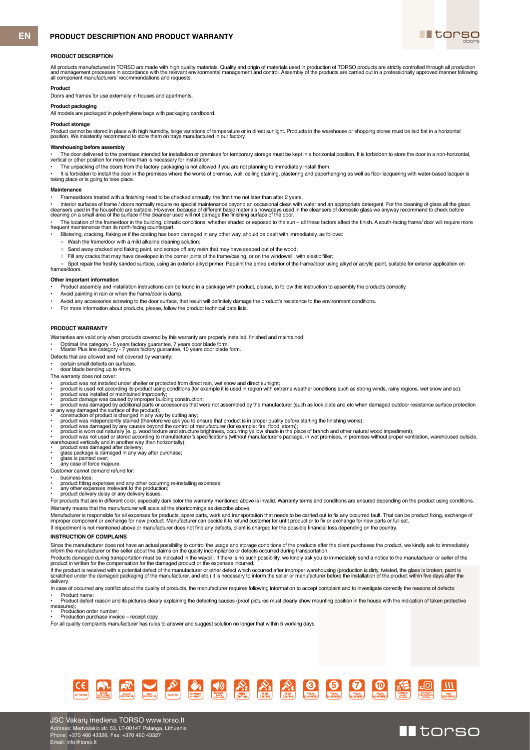# **PRODUCT DESCRIPTION AND PRODUCT WARRANTY**



II torso

#### **PRODUCT DESCRIPTION**

All products manufactured in TORSO are made with high quality materials. Quality and origin of materials used in production of TORSO products are strictly controlled through all production<br>and management processes in accor

#### **Product**

Doors and frames for use externally in houses and apartments.

#### **Product packaging**

All models are packaged in polyethylene bags with packaging cardboard.

# **Product storage**

Product cannot be stored in place with high humidity, large variations of temperature or in direct sunlight. Products in the warehouse or shopping stores must be laid flat in a horizontal<br>position. We insistently recommend

#### **Warehousing before assembly**

• The door delivered to the premises intended for installation or premises for temporary storage must be kept in a horizontal position. It is forbidden to store the door in a non-horizontal,<br>vertical or other position for

The unpacking of the doors from the factory packaging is not allowed if you are not planning to immediately install them

It is forbidden to install the door in the premises where the works of premise, wall, ceiling staining, plastering and paperhanging as well as floor lacquering with water-based lacquer is taking place or is going to take place.

#### **Maintenance**

• Frames/doors treated with a finishing need to be checked annually, the first time not later than after 2 years.

• Interior surfaces of frame / doors normally require no special maintenance beyond an occasional clean with water and an appropriate detergent. For the cleaning of glass all the glass<br>cleansers used in the household are s

• The location of the frame/door in the building, climatic conditions, whether shaded or exposed to the sun – all these factors affect the finish. A south-facing frame/ door will require more<br>frequent maintenance than its

• Blistering, cracking, flaking or if the coating has been damaged in any other way, should be dealt with immediately, as follows:

- Wash the frame/door with a mild alkaline cleaning solution;
- Sand away cracked and flaking paint, and scrape off any resin that may have seeped out of the wood;
- Fill any cracks that may have developed in the corner joints of the frame/casing, or on the windowsill, with elastic filler;

○ Spot repair the freshly sanded surface, using an exterior alkyd primer. Repaint the entire exterior of the frame/door using alkyd or acrylic paint, suitable for exterior application on frames/doors.

#### **Other important information**

- Product assembly and installation instructions can be found in a package with product, please, to follow this instruction to assembly the products correctly.
- Avoid painting in rain or when the frame/door is damp
- Avoid any accessories screwing to the door surface, that result will definitely damage the product's resistance to the environment conditions.
- For more information about products, please, follow the product technical data lists.

# **PRODUCT WARRANTY**

Warranties are valid only when products covered by this warranty are properly installed, finished and maintained:

• Optimal line category - 5 years factory guarantee, 7 years door blade form. • Master Plus line category - 7 years factory guarantee, 10 years door blade form.

- Defects that are allowed and not covered by warranty:
- certain small defects on surfaces<br>door blade bending up to 4mm.

• door blade bending up to 4mm.

- The warranty does not cover:
- 
- 
- 
- 
- 
- 
- 
- product was not installed under shelter or protected from direct rain, wet snow and direct sunlight;<br>• product is used not according its product using conditions (for example it is used in region with extreme weather con
- 
- 
- 
- 
- Customer cannot demand refund for:
- business loss;

• product fitting expenses and any other occurring re-installing expenses;

any other expenses irrelevant to the production • product delivery delay or any delivery issues.

For products that are in different color, especially dark color the warranty mentioned above is invalid. Warranty terms and conditions are ensured depending on the product using conditions.

Warranty means that the manufacturer will scale all the shortcomings as describe above.

Manufacturer is responsible for all expenses for products, spare parts, work and transportation that needs to be carried out to fix any occurred fault. That can be product fixing, exchange of<br>improper component or exchange If impediment is not mentioned above or manufacturer does not find any defects, client is charged for the possible financial loss depending on the country.

#### **INSTRUCTION OF COMPLAINS**

Since the manufacturer does not have an actual possibility to control the usage and storage conditions of the products after the client purchases the product, we kindly ask to immediately<br>inform the manufacturer or the sel

Products damaged during transportation must be indicated in the waybill. If there is no such possibility, we kindly ask you to immediately send a notice to the manufacturer or seller of the<br>product in written for the compe

lf the product is received with a potential defect of the manufacturer or other defect which occurred after improper warehousing (production is dirty, twisted, the glass is broken, paint is<br>scratched under the damaged pack delivery.

In case of occurred any conflict about the quality of products, the manufacturer requires following information to accept complaint and to investigate correctly the reasons of defects:

• Product name;<br>• Product defect reason and its pictures clearly explaining the defecting causes (proof pictures must clearly show mounting position in the house with the indication of taken protective measures); • Production order number;

• Production purchase invoice – receipt copy.

For all quality complaints manufacturer has rules to answer and suggest solution no longer that within 5 working days.

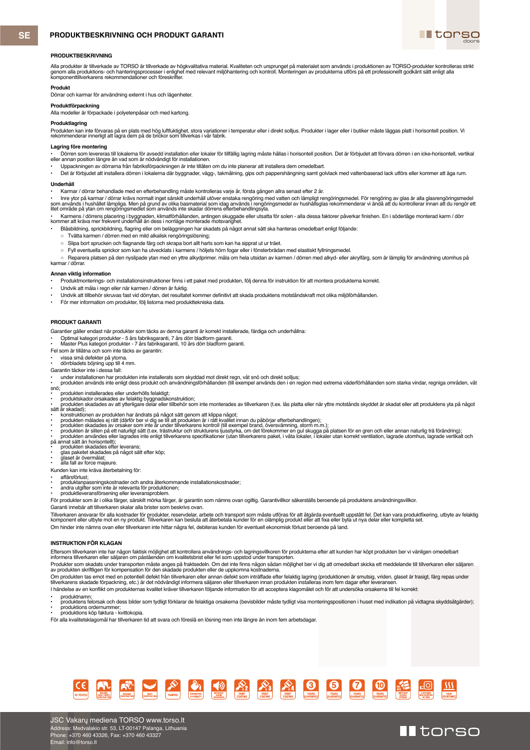# **SE PRODUKTBESKRIVNING OCH PRODUKT GARANTI**



# **PRODUKTBESKRIVNING**

Alla produkter är tillverkade av TORSO är tillverkade av högkvalitativa material. Kvaliteten och ursprunget på materialet som används i produktionen av TORSO-produkter kontrolleras strikl<br>genom alla produktions- och hanter

# **Produkt**

Dörrar och karmar för användning externt i hus och lägenheter.

# **Produktförpackning**

Alla modeller är förpackade i polyetenpåsar och med kartong.

# **Produktlagring**

Produkten kan inte förvaras på en plats med hög luftfuktighet, stora variationer i temperatur eller i direkt solljus. Produkter i lager eller i butiker måste läggas platt i horisontell position. Vi<br>rekommenderar innerligt

#### **Lagring före montering**

• Dörren som levereras till lokalerna för avsedd installation eller lokaler för tillfällig lagring måste hållas i horisontell position. Det är förbjudet att förvara dörren i en icke-horisontell, vertikal eller annan position längre än vad som är nödvändigt för installationen.

• Uppackningen av dörrarna från fabriksförpackningen är inte tillåten om du inte planerar att installera dem omedelbart.

• Det är förbjudet att installera dörren i lokalerna där byggnader, vägg-, takmålning, gips och pappershängning samt golvlack med vattenbaserad lack utförs eller kommer att äga rum.

# **Underhåll**

• Karmar / dörrar behandlade med en efterbehandling måste kontrolleras varje år, första gången allra senast efter 2 år.

• Inre ytor på karmar / dörrar krävs normalt inget särskilt underhåll utöver enstaka rengöring med vatten och lämpligt rengöringsmedel. För rengöring av glas är alla glasrengöringsmedel<br>som används i hushållet lämpliga. Me

• Karmens / dörrens placering i byggnaden, klimatförhållanden, antingen skuggade eller utsatta för solen - alla dessa faktorer påverkar finishen. En i söderläge monterad karm / dörr<br>kommer att kräva mer frekvent underhåll

• Blåsbildning, sprickbildning, flagring eller om beläggningen har skadats på något annat sätt ska hanteras omedelbart enligt följande:

- Tvätta karmen / dörren med en mild alkalisk rengöringslösning;
- 
- Slipa bort sprucken och flagnande färg och skrapa bort allt harts som kan ha sipprat ut ur träet.<br>○ Fyll eventuella sprickor som kan ha utvecklats i karmens / höljets hörn fogar eller i fönsterbrädan med elastiskt fylln ○ Fyll eventuella sprickor som kan ha utvecklats i karmens / höljets hörn fogar eller i fönsterbrädan med elastiskt fyllningsmedel.

○ Reparera platsen på den nyslipade ytan med en yttre alkydprimer. måla om hela utsidan av karmen / dörren med alkyd- eller akrylfärg, som är lämplig för användning utomhus på karmar / dörrar.

#### **Annan viktig information**

• Produktmonterings- och installationsinstruktioner finns i ett paket med produkten, följ denna för instruktion för att montera produkterna korrekt.

- Undvik att måla i regn eller när karmen / dörren är fuktig.
- Undvik att tillbehör skruvas fast vid dörrytan, det resultatet kommer definitivt att skada produktens motståndskraft mot olika miljöförhållanden.
- För mer information om produkter, följ listorna med produkttekniska data.

## **PRODUKT GARANTI**

Garantier gäller endast när produkter som täcks av denna garanti är korrekt installerade, färdiga och underhållna:

• Optimal kategori produkter - 5 års fabriksgaranti, 7 års dörr bladform garanti. • Master Plus kategori produkter - 7 års fabriksgaranti, 10 års dörr bladform garanti.

- Fel som är tillåtna och som inte täcks av garantin:
- vissa små defekter på ytorna.

#### • dörrbladets böjning upp till 4 mm. Garantin täcker inte i dessa fall:

• under installationen har produkten inte installerats som skyddad mot direkt regn, våt snö och direkt solljus;<br>• produkten används inte enligt dess produkt och användningsförhållanden (till exempel används den i en region snö; • produkten installerades eller underhölls felaktigt;

- 
- produktskador orsakades av felaktig byggnadskonstruktion;<br>• produkten skadades av att ytterligare delar eller tillbehör som inte monterades av tillverkaren (t.ex. lås platta eller när yttre motstånds skyddet är skadat el

sätt är skadad);

- 
- konstruktionen av produkten har ändrats på något sätt genom att klippa något;<br>• produkten målades ej rätt (därför ber vi dig se till att produkten är i rätt kvalitet innan du påbörjar efterbehandlingen);<br>• p
- 
- produkten är sliten på ett naturligt sätt (t.ex. trästruktur och strukturens ljusstyrka, om det förekommer en gul skugga på platsen för en gren och eller annan naturlig trä förändring);<br>• produkten användes eller lagrade
- på annat sätt än horisontellt);<br>• produkten skadades efter leverans;<br>• glaset är övermålat;<br>• glaset är övermålat;<br>• alla fall av force majeure.
- 
- 
- 

Kunden kan inte kräva återbetalning för:

• affärsförlust;

• produktanpassningskostnader och andra återkommande installationskostnader; • andra utgifter som inte är relevanta för produktionen; • produktleveransförsening eller leveransproblem.

För produkter som är i olika färger, särskilt mörka färger, är garantin som nämns ovan ogiltig. Garantivillkor säkerställs beroende på produktens användningsvillkor.

Garanti innebär att tillverkaren skalar alla brister som beskrivs ovan.

Tillverkaren ansvarar för alla kostnader för produkter, reservdelar, arbete och transport som måste utföras för att åtgärda eventuellt uppstått fel. Det kan vara produktfixering, utbyte av felaktig<br>komponent eller utbyte m Om hinder inte nämns ovan eller tillverkaren inte hittar några fel, debiteras kunden för eventuell ekonomisk förlust beroende på land.

#### **INSTRUKTION FÖR KLAGAN**

Eftersom tillverkaren inte har någon faktisk möjlighet att kontrollera användnings- och lagringsvillkoren för produkterna efter att kunden har köpt produkten ber vi vänligen omedelbart<br>informera tillverkaren eller säljaren

Produkter som skadats under transporten måste anges på fraktsedeln. Om det inte finns någon sådan möjlighet ber vi dig att omedelbart skicka ett meddelande till tillverkaren eller säljaren<br>av produkten skriftligen för komp

Om produkten tas emot med en potentiell defekt från tillverkaren eller annan defekt som inträffade efter felaktig lagring (produktionen är smutsig, vriden, glaset är trasigt, färg repas under<br>tillverkarens skadade förpackn I händelse av en konflikt om produkternas kvalitet kräver tillverkaren följande information för att acceptera klagomålet och för att undersöka orsakerna till fel korrekt:

- 
- produktnamn;<br>• produktens felorsak och dess bilder som tydligt förklarar de felaktiga orsakerna (bevisbilder måste tydligt visa monteringspositionen i huset med indikation på vidtagna skyddsåtgärder);<br>• produktions order
- 
- För alla kvalitetsklagomål har tillverkaren tid att svara och föreslå en lösning men inte längre än inom fem arbets



# II torso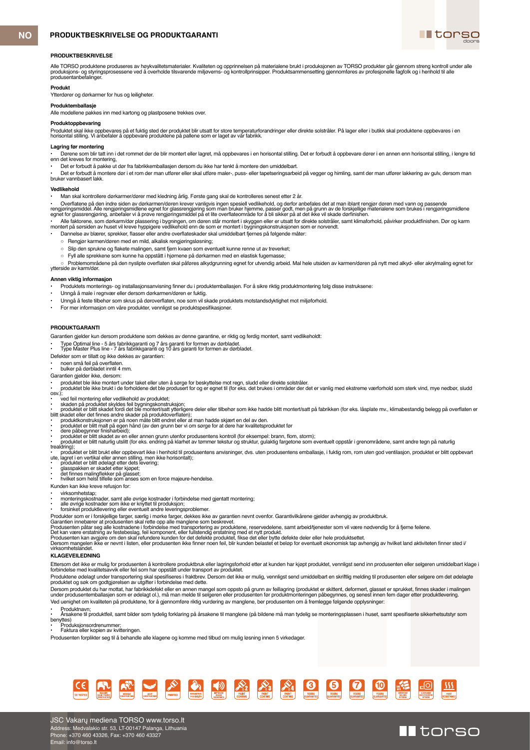



# **PRODUKTBESKRIVELSE**

Alle TORSO produktene produseres av høykvalitetsmaterialer. Kvaliteten og opprinnelsen på materialene brukt i produksjonen av TORSO produkter går gjennom streng kontroll under alle<br>produsejons- og styringsprosessene ved å

### **Produkt**

Ytterdører og dørkarmer for hus og leiligheter.

## **Produktemballasje**

Alle modellene pakkes inn med kartong og plastposene trekkes over.

# **Produktoppbevaring**

Produktet skal ikke oppbevares på et fuktig sted der produktet blir utsatt for store temperaturforandringer eller direkte solstråler. På lager eller i butikk skal produktene oppbevares i en<br>horisontal stilling. Vi anbefale

#### **Lagring før montering**

• Dørene som blir tatt inn i det rommet der de blir montert eller lagret, må oppbevares i en horisontal stilling. Det er forbudt å oppbevare dører i en annen enn horisontal stilling, i lengre tid enn det kreves for montering,

• Det er forbudt å pakke ut dør fra fabrikkemballasjen dersom du ikke har tenkt å montere den umiddelbart.

• Det er forbudt å montere dør i et rom der man utfører eller skal utføre maler-, puss- eller tapetseringsarbeid på vegger og himling, samt der man utfører lakkering av gulv, dersom man bruker vannbasert lakk.

### **Vedlikehold**

• Man skal kontrollere dørkarmer/dører med kledning årlig. Første gang skal de kontrolleres senest etter 2 år.

• Overflatene på den indre siden av dørkarmen/døren krever vanligvis ingen spesiell vedlikehold, og derfor anbefales det at man iblant rengjør døren med vann og passende<br>rengjøringsmiddel. Alle rengjøringsmidlene egnet for

• Alle faktorene, som dørkarm/dør plassering i bygningen, om døren står montert i skyggen eller er utsatt for direkte solstråler, samt klimaforhold, påvirker produktfinishen. Dør og karm<br>montert på sørsiden av huset vil kr

- Dannelse av blærer, sprekker, flasser eller andre overflateskader skal umiddelbart fjernes på følgende måter:
- Rengjør karmen/døren med en mild, alkalisk rengjøringsløsning;
- Slip den sprukne og flakete malingen, samt fjern kvaen som eventuelt kunne renne ut av treverket;
- Fyll alle sprekkene som kunne ha oppstått i hjørnene på dørkarmen med en elastisk fugemasse;

○ Problemområdene på den nyslipte overflaten skal påføres alkydgrunning egnet for utvendig arbeid. Mal hele utsiden av karmen/døren på nytt med alkyd- eller akrylmaling egnet for ytterside av karm/dør.

# **Annen viktig informasjon**

• Produktets monterings- og installasjonsanvisning finner du i produktemballasjen. For å sikre riktig produktmontering følg disse instruksene:

- Unngå å male i regnvær eller dersom dørkarmen/døren er fuktig.
- Unngå å feste tilbehør som skrus på døroverflaten, noe som vil skade produktets motstandsdyktighet mot miljøforhold.
- For mer informasjon om våre produkter, vennligst se produktspesifikasjoner.

# **PRODUKTGARANTI**

Garantien gjelder kun dersom produktene som dekkes av denne garantine, er riktig og ferdig montert, samt vedlikeholdt:

• Type Optimal line - 5 års fabrikkgaranti og 7 års garanti for formen av dørbladet. • Type Master Plus line - 7 års fabrikkgaranti og 10 års garanti for formen av dørbladet.

Defekter som er tillatt og ikke dekkes av garantien:

- 
- noen små feil på overflaten. bulker på dørbladet inntil 4 mm.
- Garantien gjelder ikke, dersom:
- 

• produktet ble ikke montert under taket eller uten å sørge for beskyttelse mot regn, sludd eller direkte solstråler.<br>• produktet ble ikke brukt i de forholdene det ble produsert for og er egnet til (for eks. det brukes i osv.)

- 
- 
- 
- 
- 
- 
- ved feil montering eller vedlikehold av produktet;<br>• skaden på produktet skyldes feil bygningskonstruksjon;<br>• produktet er blitt skadet fordi det blementer/statt ytterligere deler eller tilbehør som ikke hadde blitt mont
- trealdring);<br>• produktet er blitt brukt eller oppbevart ikke i henhold til produsentens anvisninger, dvs. uten produsentens emballasje, i fuktig rom, rom uten god ventilasjon, produktet er blitt oppbevart<br>ute, lagret i
- 
- 
- glasspakken er skadet etter kjøpet; det finnes malingflekker på glasset; hvilket som helst tilfelle som anses som en force majeure-hendelse.
- Kunden kan ikke kreve refusjon for:

• virksomhetstap;

- monteringskostnader, samt alle øvrige kostnader i forbindelse med gjentatt montering;<br>• alle øvrige kostnader som ikke er knyttet til produksjon;<br>• forsinket produktlevering eller eventuelt andre leveringsproblemer.
- 
- 
- 

Produkter som er iforskjellige farger, særlig i morke farger, dekkes ikke av garantien nevnt ovenfor. Garantivilkårene gjelder avhengig av produktbruk.<br>Garantien innebærer at prostedenslag, fell komponent, eller tulistendi

#### **KLAGEVEILEDNING**

Ettersom det ikke er mulig for produsenten å kontrollere produktbruk eller lagringsforhold etter at kunden har kjøpt produktet, vennligst send inn produsenten eller selgeren umiddelbart klage i<br>forbindelse med kvalitetsavv

Produktene ødelagt under transportering skal spesifiseres i fraktbrev. Dersom det ikke er mulig, vennligst send umiddelbart en skriftlig melding til produsenten eller selgere om det ødelagte<br>produktet og søk om godtgjørels

Dersom produktet du har mottat, har fabrikkdefekt eller en annen mangel som oppsto på grunn av feillagring (produktet er skittent, deformert, glasset er sprukket, finnes skader i malingen<br>under produsentemballasjen som er Ved uenighet om kvaliteten på produktene, for å gjennomføre riktig vurdering av manglene, ber produsenten om å fremlegge følgende opplysninger:

• Produktnavn;<br>• Årsakene til produktfeil, samt bilder som tydelig forklaring på årsakene til manglene (på bildene må man tydelig se monteringsplassen i huset, samt spesifiserte sikkerhetsutstyr som

benyttes) • Produksjonsordrenummer; • Faktura eller kopien av kvitteringen.

Produsenten forplikter seg til å behandle alle klagene og komme med tilbud om mulig løsning innen 5 virkedager.